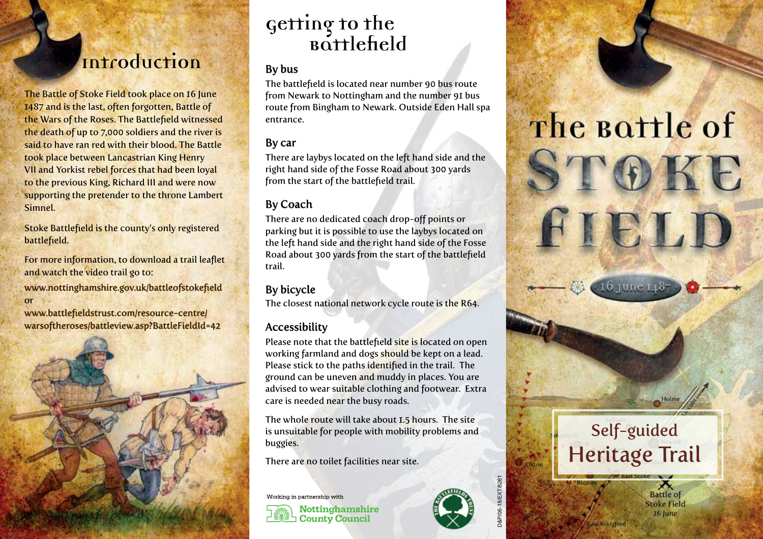## **Introduction**

The Battle of Stoke Field took place on 16 June 1487 and is the last, often forgotten, Battle of the Wars of the Roses. The Battlefield witnessed the death of up to 7,000 soldiers and the river is said to have ran red with their blood. The Battle took place between Lancastrian King Henry VII and Yorkist rebel forces that had been loyal to the previous King, Richard III and were now supporting the pretender to the throne Lambert Simnel.

Stoke Battlefield is the county's only registered battlefield.

For more information, to download a trail leaflet and watch the video trail go to:

www.nottinghamshire.gov.uk/battleofstokefield or

www.battlefieldstrust.com/resource-centre/ warsoftheroses/battleview.asp?BattleFieldId=42



# **Getting to the Battlefield**

#### By bus

The battlefield is located near number 90 bus route from Newark to Nottingham and the number 91 bus route from Bingham to Newark. Outside Eden Hall spa entrance.

### By car

There are laybys located on the left hand side and the right hand side of the Fosse Road about 300 yards from the start of the battlefield trail.

### By Coach

There are no dedicated coach drop-off points or parking but it is possible to use the laybys located on the left hand side and the right hand side of the Fosse Road about 300 yards from the start of the battlefield trail.

### By bicycle

The closest national network cycle route is the R64.

#### Accessibility

Please note that the battlefield site is located on open working farmland and dogs should be kept on a lead. Please stick to the paths identified in the trail. The ground can be uneven and muddy in places. You are advised to wear suitable clothing and footwear. Extra care is needed near the busy roads.

The whole route will take about 1.5 hours. The site is unsuitable for people with mobility problems and buggies.

There are no toilet facilities near site.

**County Council** 

Working in partnership with **Nottinghamshire** 



D&P/06-18/EXT/8261

Oxton

# The Bottle of STOKE



FIELD



ast Bridglord